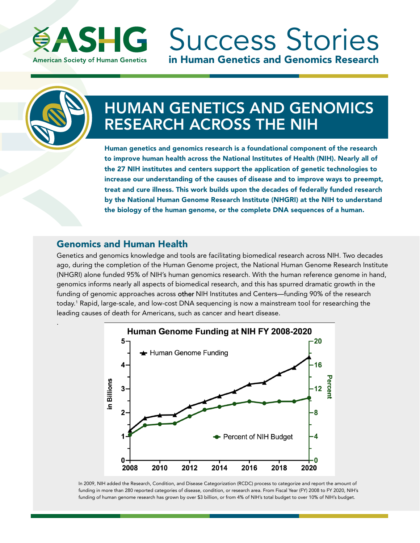

in Human Genetics and Genomics Research **ASHG** Success Stories

.

# HUMAN GENETICS AND GENOMICS RESEARCH ACROSS THE NIH

Human genetics and genomics research is a foundational component of the research to improve human health across the National Institutes of Health (NIH). Nearly all of the 27 NIH institutes and centers support the application of genetic technologies to increase our understanding of the causes of disease and to improve ways to preempt, treat and cure illness. This work builds upon the decades of federally funded research by the National Human Genome Research Institute (NHGRI) at the NIH to understand the biology of the human genome, or the complete DNA sequences of a human.

#### Genomics and Human Health

Genetics and genomics knowledge and tools are facilitating biomedical research across NIH. Two decades ago, during the completion of the Human Genome project, the National Human Genome Research Institute (NHGRI) alone funded 95% of NIH's human genomics research. With the human reference genome in hand, genomics informs nearly all aspects of biomedical research, and this has spurred dramatic growth in the funding of genomic approaches across other NIH Institutes and Centers—funding 90% of the research today.<sup>1</sup> Rapid, large-scale, and low-cost DNA sequencing is now a mainstream tool for researching the leading causes of death for Americans, such as cancer and heart disease.



In 2009, NIH added the Research, Condition, and Disease Categorization (RCDC) process to categorize and report the amount of funding in more than 280 reported categories of disease, condition, or research area. From Fiscal Year (FY) 2008 to FY 2020, NIH's funding of human genome research has grown by over \$3 billion, or from 4% of NIH's total budget to over 10% of NIH's budget.